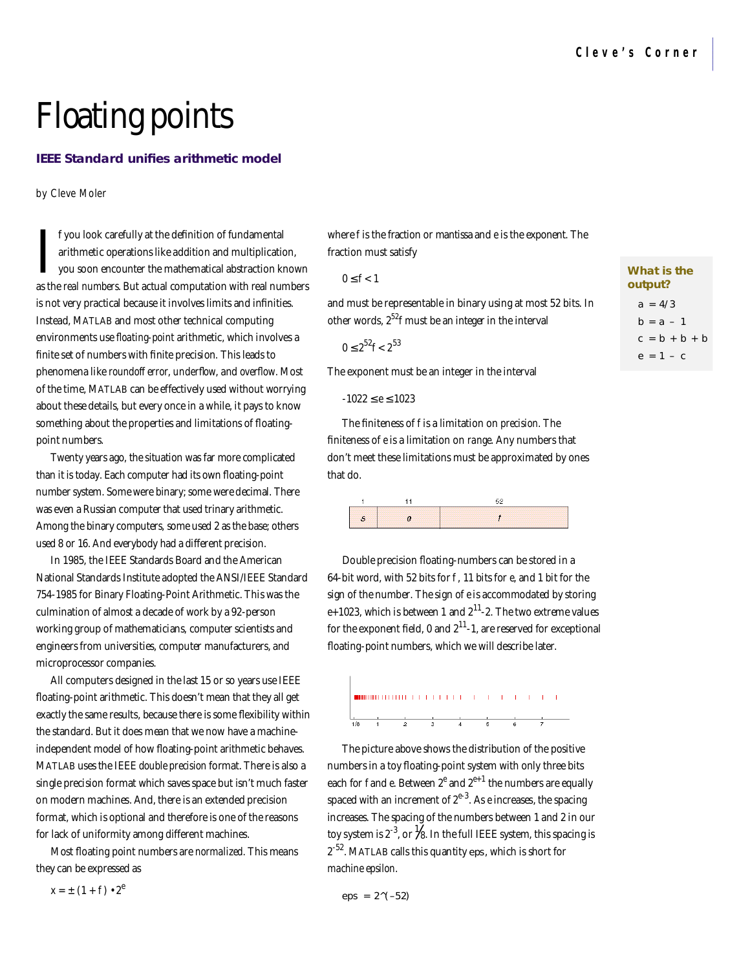**What is the output?**  $a = 4/3$  $h = a - 1$  $c = b + b + b$  $e = 1 - c$ 

# Floating points

# **IEEE Standard unifies arithmetic model**

by Cleve Moler

I you look carefully at the definition of fundamental<br>arithmetic operations like addition and multiplication,<br>you soon encounter the mathematical abstraction known<br>as the *real numbers*. But actual computation with real nu f you look carefully at the definition of fundamental arithmetic operations like addition and multiplication, you soon encounter the mathematical abstraction known is not very practical because it involves limits and infinities. Instead, MATLAB and most other technical computing environments use *floating-point* arithmetic, which involves a finite set of numbers with finite precision. This leads to phenomena like *roundoff error*, *underflow*, and *overflow*. Most of the time, MATLAB can be effectively used without worrying about these details, but every once in a while, it pays to know something about the properties and limitations of floatingpoint numbers.

Twenty years ago, the situation was far more complicated than it is today. Each computer had its own floating-point number system. Some were binary; some were decimal. There was even a Russian computer that used trinary arithmetic. Among the binary computers, some used 2 as the base; others used 8 or 16. And everybody had a different precision.

In 1985, the IEEE Standards Board and the American National Standards Institute adopted the ANSI/IEEE Standard 754-1985 for Binary Floating-Point Arithmetic. This was the culmination of almost a decade of work by a 92-person working group of mathematicians, computer scientists and engineers from universities, computer manufacturers, and microprocessor companies.

All computers designed in the last 15 or so years use IEEE floating-point arithmetic. This doesn't mean that they all get exactly the same results, because there is some flexibility within the standard. But it does mean that we now have a machineindependent model of how floating-point arithmetic behaves. MATLAB uses the IEEE *double precision* format. There is also a single precision format which saves space but isn't much faster on modern machines. And, there is an extended precision format, which is optional and therefore is one of the reasons for lack of uniformity among different machines.

Most floating point numbers are *normalized*. This means they can be expressed as

$$
x = \pm (1 + f) \cdot 2^e
$$

where *f* is the fraction or mantissa and *e* is the exponent. The fraction must satisfy

| ×<br>۰, |  |
|---------|--|
|---------|--|

and must be representable in binary using at most 52 bits. In other words, 252*f* must be an integer in the interval

0  $2^{52}f < 2^{53}$ 

The exponent must be an integer in the interval

-1022 *e* 1023

The finiteness of *f* is a limitation on *precision*. The finiteness of *e* is a limitation on *range*. Any numbers that don't meet these limitations must be approximated by ones that do.

|                                         |                                                                                  | and a final solution of a final solution of extensive experimental extensive extensive |
|-----------------------------------------|----------------------------------------------------------------------------------|----------------------------------------------------------------------------------------|
| <b><i>CONTRACTOR COMMUNICATIONS</i></b> | -------------------------------------<br>and the state of the state of the state |                                                                                        |

Double precision floating-numbers can be stored in a 64-bit word, with 52 bits for *f* , 11 bits for *e*, and 1 bit for the sign of the number. The sign of *e* is accommodated by storing  $e+1023$ , which is between 1 and  $2^{11}$ -2. The two extreme values for the exponent field, 0 and  $2^{11}$ -1, are reserved for exceptional floating-point numbers, which we will describe later.



The picture above shows the distribution of the positive numbers in a toy floating-point system with only three bits each for  $f$ and  $e$ . Between 2 $^e$  and 2 $^{e+1}$  the numbers are equally spaced with an increment of  $2^{e-3}$ . As *e* increases, the spacing increases. The spacing of the numbers between 1 and 2 in our toy system is 2<sup>-3</sup>, or  $\frac{1}{8}$ . In the full IEEE system, this spacing is 2<sup>-52</sup>. MATLAB calls this quantity eps, which is short for *machine epsilon*.

 $eps = 2^(-52)$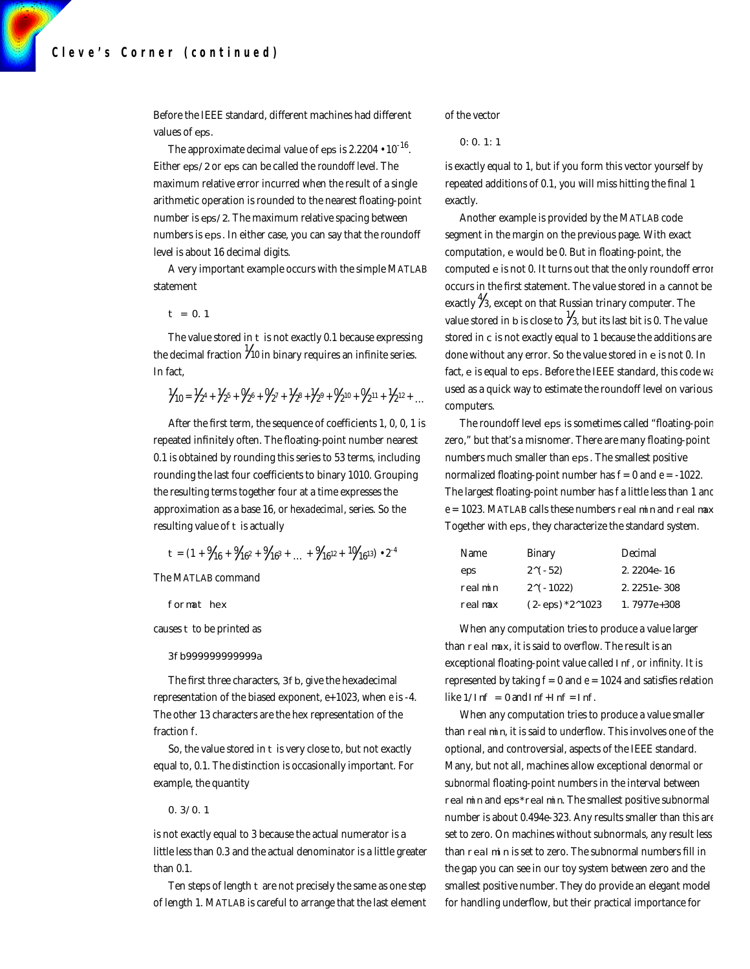Before the IEEE standard, different machines had different values of eps.

The approximate decimal value of eps is 2.2204  $\boldsymbol{\cdot}$  10<sup>-16</sup>. Either eps/2 or eps can be called the *roundoff level*. The maximum relative error incurred when the result of a single arithmetic operation is rounded to the nearest floating-point number is eps/2. The maximum relative spacing between numbers is eps. In either case, you can say that the roundoff level is about 16 decimal digits.

A very important example occurs with the simple MATLAB statement

## $t = 0.1$

The value stored in t is not exactly 0.1 because expressing the decimal fraction  $\frac{1}{10}$  in binary requires an infinite series. In fact,

$$
{}^{1} \hspace{-1pt} f_{10} = {}^{1} \hspace{-1pt} f_{2}^4 + {}^{1} \hspace{-1pt} f_{2}^5 + {}^{0} \hspace{-1pt} f_{2}^6 + {}^{0} \hspace{-1pt} f_{2}^7 + {}^{1} \hspace{-1pt} f_{2}^8 + {}^{1} \hspace{-1pt} f_{2}^9 + {}^{0} \hspace{-1pt} f_{2}^{10} + {}^{0} \hspace{-1pt} f_{2}^{11} + {}^{1} \hspace{-1pt} f_{2}^{12} + \ldots
$$

After the first term, the sequence of coefficients 1, 0, 0, 1 is repeated infinitely often. The floating-point number nearest 0.1 is obtained by rounding this series to 53 terms, including rounding the last four coefficients to binary 1010. Grouping the resulting terms together four at a time expresses the approximation as a base 16, or *hexadecimal*, series. So the resulting value of t is actually

$$
t = (1 + \frac{9}{16} + \frac{9}{16^2} + \frac{9}{16^3} + \dots + \frac{9}{16^{12}} + \frac{10}{16^{13}}) \cdot 2^{-4}
$$

The MATLAB command

format hex

causes t to be printed as

#### 3fb999999999999a

The first three characters, 3fb, give the hexadecimal representation of the biased exponent, *e*+1023, when *e* is -4. The other 13 characters are the hex representation of the fraction *f*.

So, the value stored in t is very close to, but not exactly equal to, 0.1. The distinction is occasionally important. For example, the quantity

#### 0.3/0.1

is not exactly equal to 3 because the actual numerator is a little less than 0.3 and the actual denominator is a little greater than 0.1.

Ten steps of length t are not precisely the same as one step of length 1. MATLAB is careful to arrange that the last element of the vector

0:0.1:1

is exactly equal to 1, but if you form this vector yourself by repeated additions of 0.1, you will miss hitting the final 1 exactly.

Another example is provided by the MATLAB code segment in the margin on the previous page. With exact computation, e would be 0. But in floating-point, the computed e is not 0. It turns out that the only roundoff error occurs in the first statement. The value stored in a cannot be exactly  $\frac{4}{3}$ , except on that Russian trinary computer. The value stored in b is close to  $\frac{1}{3}$ , but its last bit is 0. The value stored in c is not exactly equal to 1 because the additions are done without any error. So the value stored in e is not 0. In fact, e is equal to eps. Before the IEEE standard, this code was used as a quick way to estimate the roundoff level on various computers.

The roundoff level eps is sometimes called "floating-poir zero," but that's a misnomer. There are many floating-point numbers much smaller than eps. The smallest positive normalized floating-point number has *f* = 0 and *e* = -1022. The largest floating-point number has *f* a little less than 1 and  $e = 1023$ . MATLAB calls these numbers real min and real max Together with eps, they characterize the standard system.

| <b>Name</b> | Binary                           | Decimal     |
|-------------|----------------------------------|-------------|
| eps         | $2^{(-52)}$                      | 2.2204e-16  |
| real min    | $2^{\wedge}$ (-1022)             | 2.2251e-308 |
| real max    | $(2-\epsilon ps)*2^{\wedge}1023$ | 1.7977e+308 |

When any computation tries to produce a value larger than realmax, it is said to *overflow*. The result is an exceptional floating-point value called I nf, or *infinity*. It is represented by taking  $f = 0$  and  $e = 1024$  and satisfies relation like  $1/l$ nf = 0 and I nf + I nf = I nf.

When any computation tries to produce a value smaller than real min, it is said to *underflow*. This involves one of the optional, and controversial, aspects of the IEEE standard. Many, but not all, machines allow exceptional *denormal* or *subnormal* floating-point numbers in the interval between real min and eps\*real min. The smallest positive subnormal number is about 0.494e-323. Any results smaller than this are set to zero. On machines without subnormals, any result less than realmin is set to zero. The subnormal numbers fill in the gap you can see in our toy system between zero and the smallest positive number. They do provide an elegant model for handling underflow, but their practical importance for